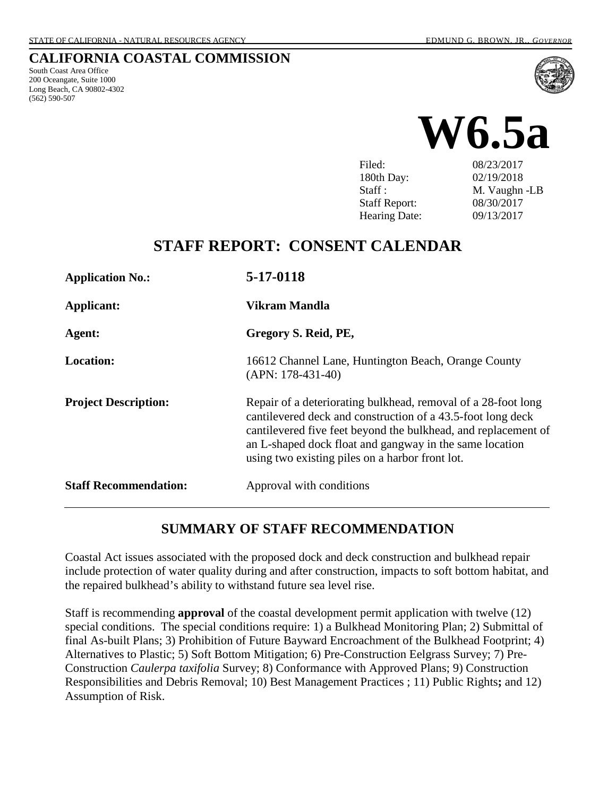#### **CALIFORNIA COASTAL COMMISSION**

South Coast Area Office 200 Oceangate, Suite 1000 Long Beach, CA 90802-4302 (562) 590-507





Filed: 08/23/2017 180th Day: 02/19/2018 Staff : M. Vaughn -LB Staff Report: 08/30/2017 Hearing Date: 09/13/2017

# **STAFF REPORT: CONSENT CALENDAR**

| <b>Application No.:</b>      | 5-17-0118                                                                                                                                                                                                                                                                                                    |
|------------------------------|--------------------------------------------------------------------------------------------------------------------------------------------------------------------------------------------------------------------------------------------------------------------------------------------------------------|
| Applicant:                   | Vikram Mandla                                                                                                                                                                                                                                                                                                |
| Agent:                       | Gregory S. Reid, PE,                                                                                                                                                                                                                                                                                         |
| <b>Location:</b>             | 16612 Channel Lane, Huntington Beach, Orange County<br>$(APN: 178-431-40)$                                                                                                                                                                                                                                   |
| <b>Project Description:</b>  | Repair of a deteriorating bulkhead, removal of a 28-foot long<br>cantilevered deck and construction of a 43.5-foot long deck<br>cantilevered five feet beyond the bulkhead, and replacement of<br>an L-shaped dock float and gangway in the same location<br>using two existing piles on a harbor front lot. |
| <b>Staff Recommendation:</b> | Approval with conditions                                                                                                                                                                                                                                                                                     |

### **SUMMARY OF STAFF RECOMMENDATION**

Coastal Act issues associated with the proposed dock and deck construction and bulkhead repair include protection of water quality during and after construction, impacts to soft bottom habitat, and the repaired bulkhead's ability to withstand future sea level rise.

Staff is recommending **approval** of the coastal development permit application with twelve (12) special conditions. The special conditions require: 1) a Bulkhead Monitoring Plan; 2) Submittal of final As-built Plans; 3) Prohibition of Future Bayward Encroachment of the Bulkhead Footprint; 4) Alternatives to Plastic; 5) Soft Bottom Mitigation; 6) Pre-Construction Eelgrass Survey; 7) Pre-Construction *Caulerpa taxifolia* Survey; 8) Conformance with Approved Plans; 9) Construction Responsibilities and Debris Removal; 10) Best Management Practices ; 11) Public Rights**;** and 12) Assumption of Risk.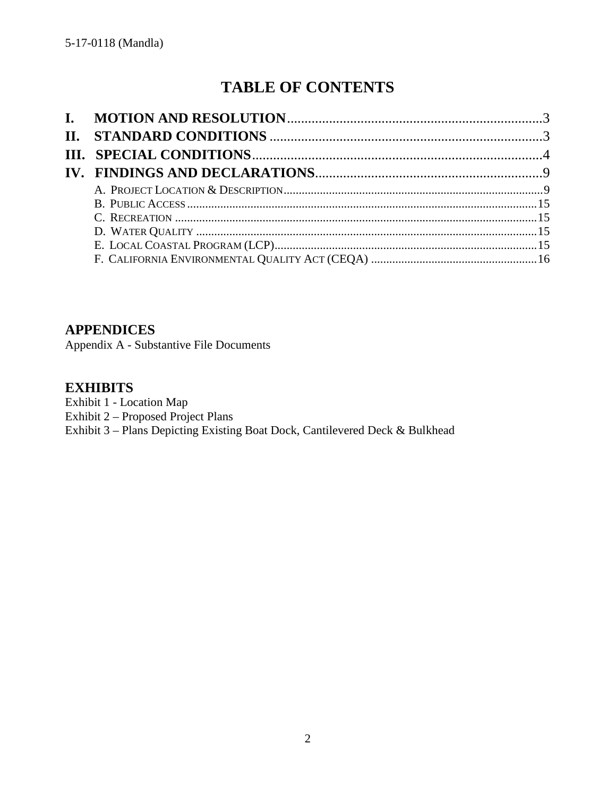# **TABLE OF CONTENTS**

### **APPENDICES**

Appendix A - Substantive File Documents

### **EXHIBITS**

- Exhibit 1 Location Map
- Exhibit 2 Proposed Project Plans

Exhibit 3 – Plans Depicting Existing Boat Dock, Cantilevered Deck & Bulkhead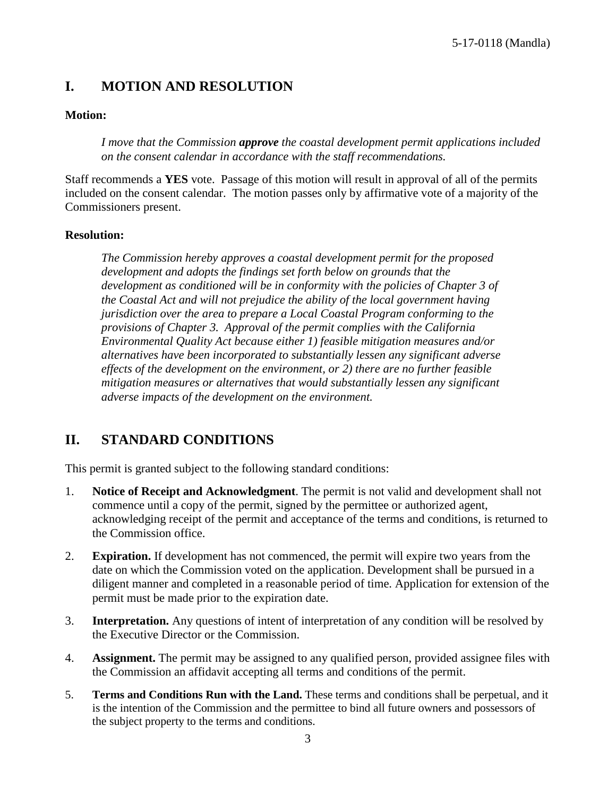# <span id="page-2-0"></span>**I. MOTION AND RESOLUTION**

#### **Motion:**

*I move that the Commission approve the coastal development permit applications included on the consent calendar in accordance with the staff recommendations.*

Staff recommends a **YES** vote. Passage of this motion will result in approval of all of the permits included on the consent calendar. The motion passes only by affirmative vote of a majority of the Commissioners present.

#### **Resolution:**

*The Commission hereby approves a coastal development permit for the proposed development and adopts the findings set forth below on grounds that the development as conditioned will be in conformity with the policies of Chapter 3 of the Coastal Act and will not prejudice the ability of the local government having jurisdiction over the area to prepare a Local Coastal Program conforming to the provisions of Chapter 3. Approval of the permit complies with the California Environmental Quality Act because either 1) feasible mitigation measures and/or alternatives have been incorporated to substantially lessen any significant adverse effects of the development on the environment, or 2) there are no further feasible mitigation measures or alternatives that would substantially lessen any significant adverse impacts of the development on the environment.* 

# <span id="page-2-1"></span>**II. STANDARD CONDITIONS**

This permit is granted subject to the following standard conditions:

- 1. **Notice of Receipt and Acknowledgment**. The permit is not valid and development shall not commence until a copy of the permit, signed by the permittee or authorized agent, acknowledging receipt of the permit and acceptance of the terms and conditions, is returned to the Commission office.
- 2. **Expiration.** If development has not commenced, the permit will expire two years from the date on which the Commission voted on the application. Development shall be pursued in a diligent manner and completed in a reasonable period of time. Application for extension of the permit must be made prior to the expiration date.
- 3. **Interpretation.** Any questions of intent of interpretation of any condition will be resolved by the Executive Director or the Commission.
- 4. **Assignment.** The permit may be assigned to any qualified person, provided assignee files with the Commission an affidavit accepting all terms and conditions of the permit.
- 5. **Terms and Conditions Run with the Land.** These terms and conditions shall be perpetual, and it is the intention of the Commission and the permittee to bind all future owners and possessors of the subject property to the terms and conditions.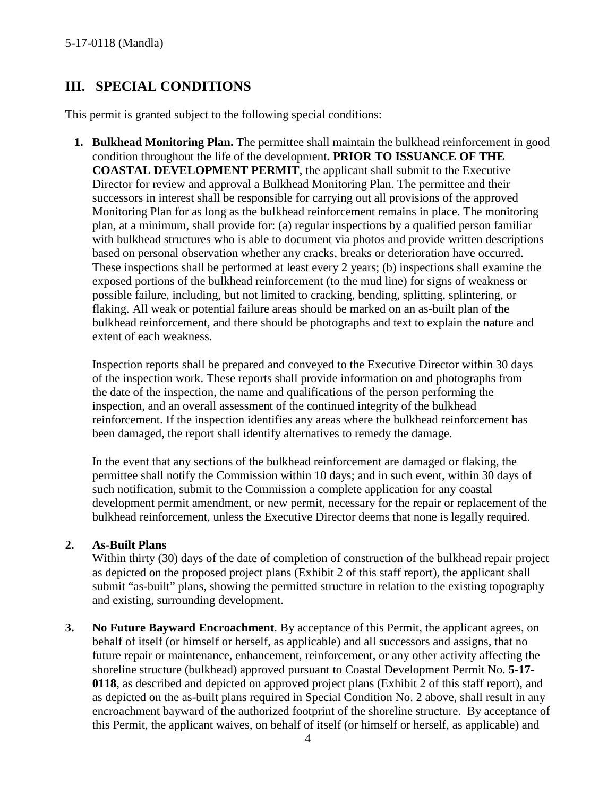# <span id="page-3-0"></span>**III. SPECIAL CONDITIONS**

This permit is granted subject to the following special conditions:

**1. Bulkhead Monitoring Plan.** The permittee shall maintain the bulkhead reinforcement in good condition throughout the life of the development**. PRIOR TO ISSUANCE OF THE COASTAL DEVELOPMENT PERMIT**, the applicant shall submit to the Executive Director for review and approval a Bulkhead Monitoring Plan. The permittee and their successors in interest shall be responsible for carrying out all provisions of the approved Monitoring Plan for as long as the bulkhead reinforcement remains in place. The monitoring plan, at a minimum, shall provide for: (a) regular inspections by a qualified person familiar with bulkhead structures who is able to document via photos and provide written descriptions based on personal observation whether any cracks, breaks or deterioration have occurred. These inspections shall be performed at least every 2 years; (b) inspections shall examine the exposed portions of the bulkhead reinforcement (to the mud line) for signs of weakness or possible failure, including, but not limited to cracking, bending, splitting, splintering, or flaking. All weak or potential failure areas should be marked on an as-built plan of the bulkhead reinforcement, and there should be photographs and text to explain the nature and extent of each weakness.

Inspection reports shall be prepared and conveyed to the Executive Director within 30 days of the inspection work. These reports shall provide information on and photographs from the date of the inspection, the name and qualifications of the person performing the inspection, and an overall assessment of the continued integrity of the bulkhead reinforcement. If the inspection identifies any areas where the bulkhead reinforcement has been damaged, the report shall identify alternatives to remedy the damage.

In the event that any sections of the bulkhead reinforcement are damaged or flaking, the permittee shall notify the Commission within 10 days; and in such event, within 30 days of such notification, submit to the Commission a complete application for any coastal development permit amendment, or new permit, necessary for the repair or replacement of the bulkhead reinforcement, unless the Executive Director deems that none is legally required.

#### **2. As-Built Plans**

Within thirty (30) days of the date of completion of construction of the bulkhead repair project as depicted on the proposed project plans (Exhibit 2 of this staff report), the applicant shall submit "as-built" plans, showing the permitted structure in relation to the existing topography and existing, surrounding development.

**3. No Future Bayward Encroachment**. By acceptance of this Permit, the applicant agrees, on behalf of itself (or himself or herself, as applicable) and all successors and assigns, that no future repair or maintenance, enhancement, reinforcement, or any other activity affecting the shoreline structure (bulkhead) approved pursuant to Coastal Development Permit No. **5-17- 0118**, as described and depicted on approved project plans (Exhibit 2 of this staff report), and as depicted on the as-built plans required in Special Condition No. 2 above, shall result in any encroachment bayward of the authorized footprint of the shoreline structure. By acceptance of this Permit, the applicant waives, on behalf of itself (or himself or herself, as applicable) and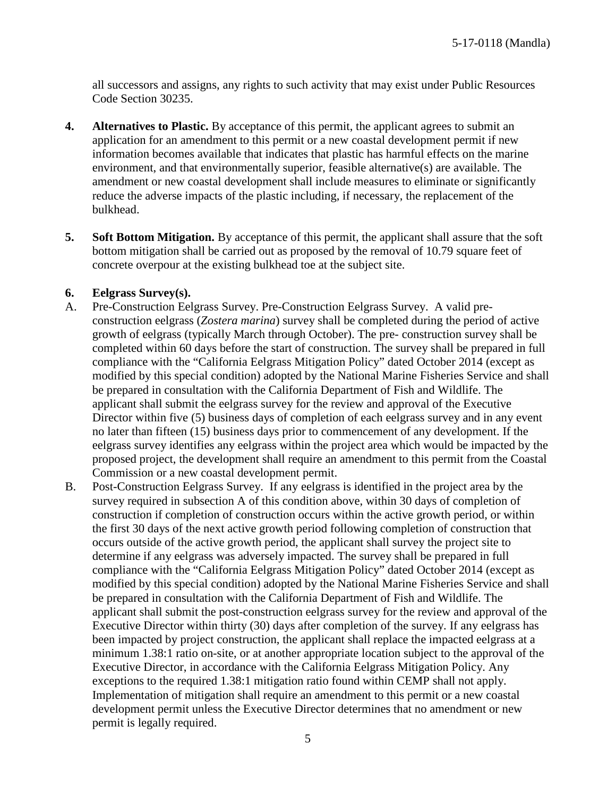all successors and assigns, any rights to such activity that may exist under Public Resources Code Section 30235.

- **4. Alternatives to Plastic.** By acceptance of this permit, the applicant agrees to submit an application for an amendment to this permit or a new coastal development permit if new information becomes available that indicates that plastic has harmful effects on the marine environment, and that environmentally superior, feasible alternative(s) are available. The amendment or new coastal development shall include measures to eliminate or significantly reduce the adverse impacts of the plastic including, if necessary, the replacement of the bulkhead.
- **5. Soft Bottom Mitigation.** By acceptance of this permit, the applicant shall assure that the soft bottom mitigation shall be carried out as proposed by the removal of 10.79 square feet of concrete overpour at the existing bulkhead toe at the subject site.

#### **6. Eelgrass Survey(s).**

- A. Pre-Construction Eelgrass Survey. Pre-Construction Eelgrass Survey. A valid preconstruction eelgrass (*Zostera marina*) survey shall be completed during the period of active growth of eelgrass (typically March through October). The pre- construction survey shall be completed within 60 days before the start of construction. The survey shall be prepared in full compliance with the "California Eelgrass Mitigation Policy" dated October 2014 (except as modified by this special condition) adopted by the National Marine Fisheries Service and shall be prepared in consultation with the California Department of Fish and Wildlife. The applicant shall submit the eelgrass survey for the review and approval of the Executive Director within five (5) business days of completion of each eelgrass survey and in any event no later than fifteen (15) business days prior to commencement of any development. If the eelgrass survey identifies any eelgrass within the project area which would be impacted by the proposed project, the development shall require an amendment to this permit from the Coastal Commission or a new coastal development permit.
- B. Post-Construction Eelgrass Survey. If any eelgrass is identified in the project area by the survey required in subsection A of this condition above, within 30 days of completion of construction if completion of construction occurs within the active growth period, or within the first 30 days of the next active growth period following completion of construction that occurs outside of the active growth period, the applicant shall survey the project site to determine if any eelgrass was adversely impacted. The survey shall be prepared in full compliance with the "California Eelgrass Mitigation Policy" dated October 2014 (except as modified by this special condition) adopted by the National Marine Fisheries Service and shall be prepared in consultation with the California Department of Fish and Wildlife. The applicant shall submit the post-construction eelgrass survey for the review and approval of the Executive Director within thirty (30) days after completion of the survey. If any eelgrass has been impacted by project construction, the applicant shall replace the impacted eelgrass at a minimum 1.38:1 ratio on-site, or at another appropriate location subject to the approval of the Executive Director, in accordance with the California Eelgrass Mitigation Policy. Any exceptions to the required 1.38:1 mitigation ratio found within CEMP shall not apply. Implementation of mitigation shall require an amendment to this permit or a new coastal development permit unless the Executive Director determines that no amendment or new permit is legally required.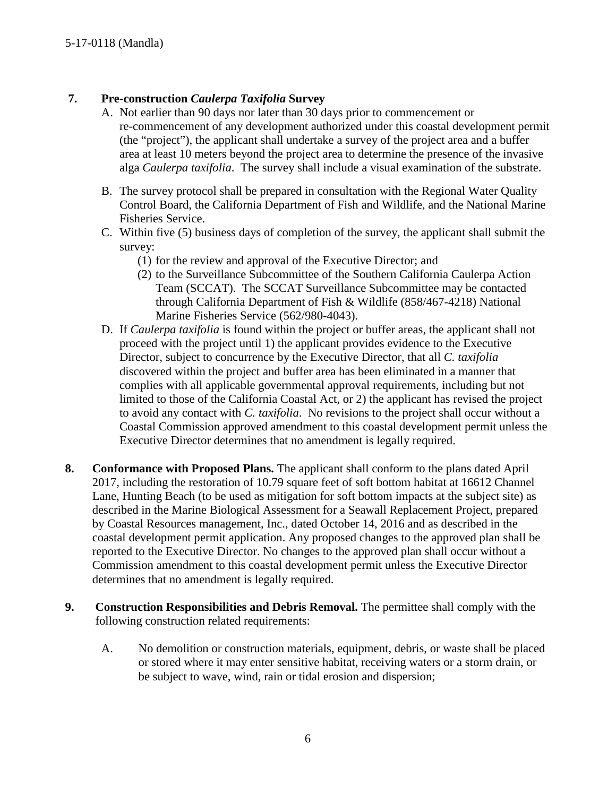### **7. Pre-construction** *Caulerpa Taxifolia* **Survey**

- A. Not earlier than 90 days nor later than 30 days prior to commencement or re-commencement of any development authorized under this coastal development permit (the "project"), the applicant shall undertake a survey of the project area and a buffer area at least 10 meters beyond the project area to determine the presence of the invasive alga *Caulerpa taxifolia*. The survey shall include a visual examination of the substrate.
- B. The survey protocol shall be prepared in consultation with the Regional Water Quality Control Board, the California Department of Fish and Wildlife, and the National Marine Fisheries Service.
- C. Within five (5) business days of completion of the survey, the applicant shall submit the survey:
	- (1) for the review and approval of the Executive Director; and
	- (2) to the Surveillance Subcommittee of the Southern California Caulerpa Action Team (SCCAT). The SCCAT Surveillance Subcommittee may be contacted through California Department of Fish & Wildlife (858/467-4218) National Marine Fisheries Service (562/980-4043).
- D. If *Caulerpa taxifolia* is found within the project or buffer areas, the applicant shall not proceed with the project until 1) the applicant provides evidence to the Executive Director, subject to concurrence by the Executive Director, that all *C. taxifolia* discovered within the project and buffer area has been eliminated in a manner that complies with all applicable governmental approval requirements, including but not limited to those of the California Coastal Act, or 2) the applicant has revised the project to avoid any contact with *C. taxifolia*. No revisions to the project shall occur without a Coastal Commission approved amendment to this coastal development permit unless the Executive Director determines that no amendment is legally required.
- **8. Conformance with Proposed Plans.** The applicant shall conform to the plans dated April 2017, including the restoration of 10.79 square feet of soft bottom habitat at 16612 Channel Lane, Hunting Beach (to be used as mitigation for soft bottom impacts at the subject site) as described in the Marine Biological Assessment for a Seawall Replacement Project, prepared by Coastal Resources management, Inc., dated October 14, 2016 and as described in the coastal development permit application. Any proposed changes to the approved plan shall be reported to the Executive Director. No changes to the approved plan shall occur without a Commission amendment to this coastal development permit unless the Executive Director determines that no amendment is legally required.
- **9. Construction Responsibilities and Debris Removal.** The permittee shall comply with the following construction related requirements:
	- A. No demolition or construction materials, equipment, debris, or waste shall be placed or stored where it may enter sensitive habitat, receiving waters or a storm drain, or be subject to wave, wind, rain or tidal erosion and dispersion;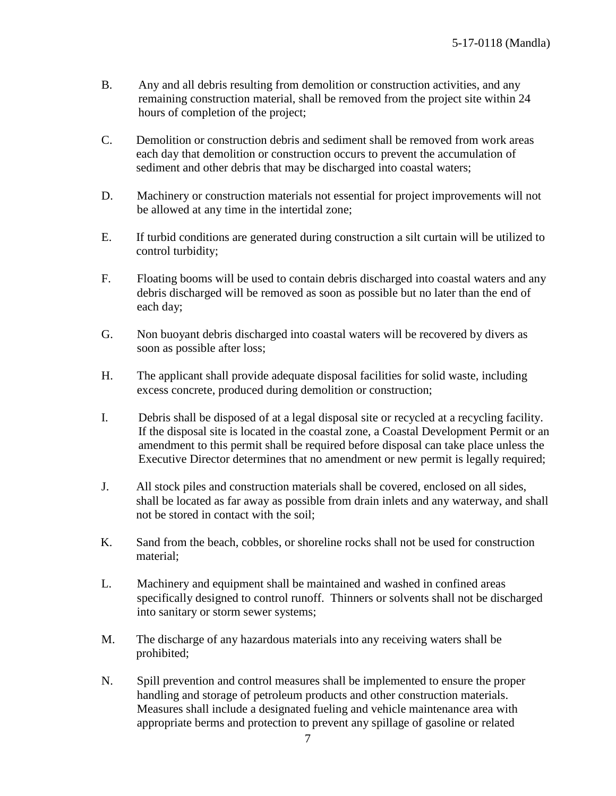- B. Any and all debris resulting from demolition or construction activities, and any remaining construction material, shall be removed from the project site within 24 hours of completion of the project;
- C. Demolition or construction debris and sediment shall be removed from work areas each day that demolition or construction occurs to prevent the accumulation of sediment and other debris that may be discharged into coastal waters;
- D. Machinery or construction materials not essential for project improvements will not be allowed at any time in the intertidal zone;
- E. If turbid conditions are generated during construction a silt curtain will be utilized to control turbidity;
- F. Floating booms will be used to contain debris discharged into coastal waters and any debris discharged will be removed as soon as possible but no later than the end of each day;
- G. Non buoyant debris discharged into coastal waters will be recovered by divers as soon as possible after loss;
- H. The applicant shall provide adequate disposal facilities for solid waste, including excess concrete, produced during demolition or construction;
- I. Debris shall be disposed of at a legal disposal site or recycled at a recycling facility. If the disposal site is located in the coastal zone, a Coastal Development Permit or an amendment to this permit shall be required before disposal can take place unless the Executive Director determines that no amendment or new permit is legally required;
- J. All stock piles and construction materials shall be covered, enclosed on all sides, shall be located as far away as possible from drain inlets and any waterway, and shall not be stored in contact with the soil;
- K. Sand from the beach, cobbles, or shoreline rocks shall not be used for construction material;
- L. Machinery and equipment shall be maintained and washed in confined areas specifically designed to control runoff. Thinners or solvents shall not be discharged into sanitary or storm sewer systems;
- M. The discharge of any hazardous materials into any receiving waters shall be prohibited;
- N. Spill prevention and control measures shall be implemented to ensure the proper handling and storage of petroleum products and other construction materials. Measures shall include a designated fueling and vehicle maintenance area with appropriate berms and protection to prevent any spillage of gasoline or related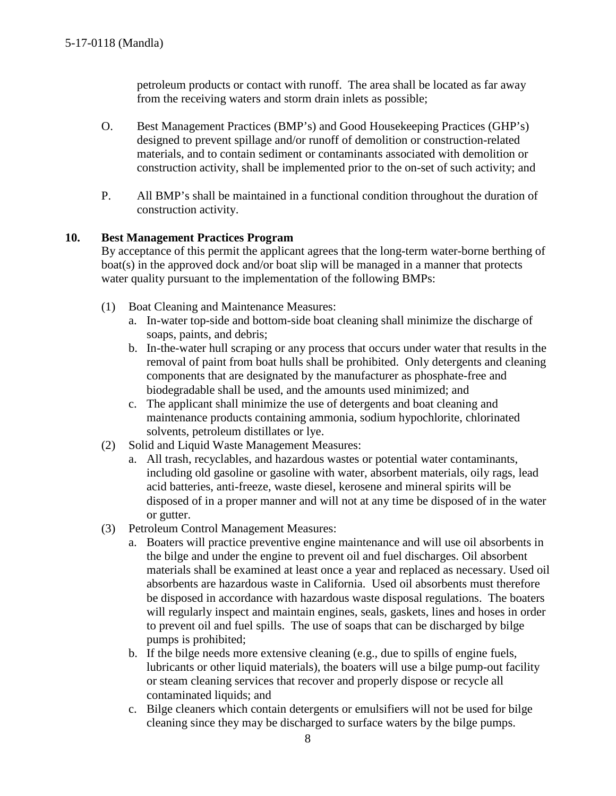petroleum products or contact with runoff. The area shall be located as far away from the receiving waters and storm drain inlets as possible;

- O. Best Management Practices (BMP's) and Good Housekeeping Practices (GHP's) designed to prevent spillage and/or runoff of demolition or construction-related materials, and to contain sediment or contaminants associated with demolition or construction activity, shall be implemented prior to the on-set of such activity; and
- P. All BMP's shall be maintained in a functional condition throughout the duration of construction activity.

#### **10. Best Management Practices Program**

By acceptance of this permit the applicant agrees that the long-term water-borne berthing of boat(s) in the approved dock and/or boat slip will be managed in a manner that protects water quality pursuant to the implementation of the following BMPs:

- (1) Boat Cleaning and Maintenance Measures:
	- a. In-water top-side and bottom-side boat cleaning shall minimize the discharge of soaps, paints, and debris;
	- b. In-the-water hull scraping or any process that occurs under water that results in the removal of paint from boat hulls shall be prohibited. Only detergents and cleaning components that are designated by the manufacturer as phosphate-free and biodegradable shall be used, and the amounts used minimized; and
	- c. The applicant shall minimize the use of detergents and boat cleaning and maintenance products containing ammonia, sodium hypochlorite, chlorinated solvents, petroleum distillates or lye.
- (2) Solid and Liquid Waste Management Measures:
	- a. All trash, recyclables, and hazardous wastes or potential water contaminants, including old gasoline or gasoline with water, absorbent materials, oily rags, lead acid batteries, anti-freeze, waste diesel, kerosene and mineral spirits will be disposed of in a proper manner and will not at any time be disposed of in the water or gutter.
- (3) Petroleum Control Management Measures:
	- a. Boaters will practice preventive engine maintenance and will use oil absorbents in the bilge and under the engine to prevent oil and fuel discharges. Oil absorbent materials shall be examined at least once a year and replaced as necessary. Used oil absorbents are hazardous waste in California. Used oil absorbents must therefore be disposed in accordance with hazardous waste disposal regulations. The boaters will regularly inspect and maintain engines, seals, gaskets, lines and hoses in order to prevent oil and fuel spills. The use of soaps that can be discharged by bilge pumps is prohibited;
	- b. If the bilge needs more extensive cleaning (e.g., due to spills of engine fuels, lubricants or other liquid materials), the boaters will use a bilge pump-out facility or steam cleaning services that recover and properly dispose or recycle all contaminated liquids; and
	- c. Bilge cleaners which contain detergents or emulsifiers will not be used for bilge cleaning since they may be discharged to surface waters by the bilge pumps.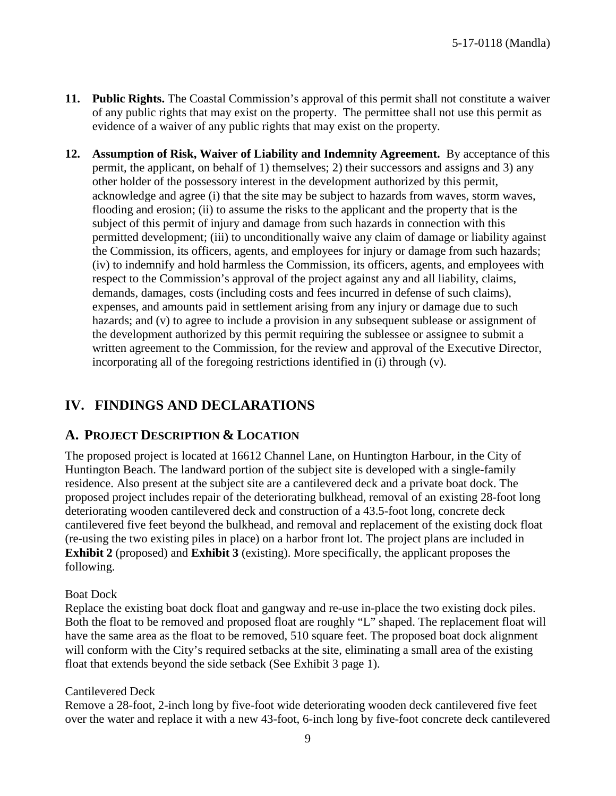- **11. Public Rights.** The Coastal Commission's approval of this permit shall not constitute a waiver of any public rights that may exist on the property. The permittee shall not use this permit as evidence of a waiver of any public rights that may exist on the property.
- **12. Assumption of Risk, Waiver of Liability and Indemnity Agreement.** By acceptance of this permit, the applicant, on behalf of 1) themselves; 2) their successors and assigns and 3) any other holder of the possessory interest in the development authorized by this permit, acknowledge and agree (i) that the site may be subject to hazards from waves, storm waves, flooding and erosion; (ii) to assume the risks to the applicant and the property that is the subject of this permit of injury and damage from such hazards in connection with this permitted development; (iii) to unconditionally waive any claim of damage or liability against the Commission, its officers, agents, and employees for injury or damage from such hazards; (iv) to indemnify and hold harmless the Commission, its officers, agents, and employees with respect to the Commission's approval of the project against any and all liability, claims, demands, damages, costs (including costs and fees incurred in defense of such claims), expenses, and amounts paid in settlement arising from any injury or damage due to such hazards; and (v) to agree to include a provision in any subsequent sublease or assignment of the development authorized by this permit requiring the sublessee or assignee to submit a written agreement to the Commission, for the review and approval of the Executive Director, incorporating all of the foregoing restrictions identified in (i) through (v).

# <span id="page-8-0"></span>**IV. FINDINGS AND DECLARATIONS**

### <span id="page-8-1"></span>**A. PROJECT DESCRIPTION & LOCATION**

The proposed project is located at 16612 Channel Lane, on Huntington Harbour, in the City of Huntington Beach. The landward portion of the subject site is developed with a single-family residence. Also present at the subject site are a cantilevered deck and a private boat dock. The proposed project includes repair of the deteriorating bulkhead, removal of an existing 28-foot long deteriorating wooden cantilevered deck and construction of a 43.5-foot long, concrete deck cantilevered five feet beyond the bulkhead, and removal and replacement of the existing dock float (re-using the two existing piles in place) on a harbor front lot. The project plans are included in **Exhibit 2** (proposed) and **Exhibit 3** (existing). More specifically, the applicant proposes the following.

#### Boat Dock

Replace the existing boat dock float and gangway and re-use in-place the two existing dock piles. Both the float to be removed and proposed float are roughly "L" shaped. The replacement float will have the same area as the float to be removed, 510 square feet. The proposed boat dock alignment will conform with the City's required setbacks at the site, eliminating a small area of the existing float that extends beyond the side setback (See Exhibit 3 page 1).

#### Cantilevered Deck

Remove a 28-foot, 2-inch long by five-foot wide deteriorating wooden deck cantilevered five feet over the water and replace it with a new 43-foot, 6-inch long by five-foot concrete deck cantilevered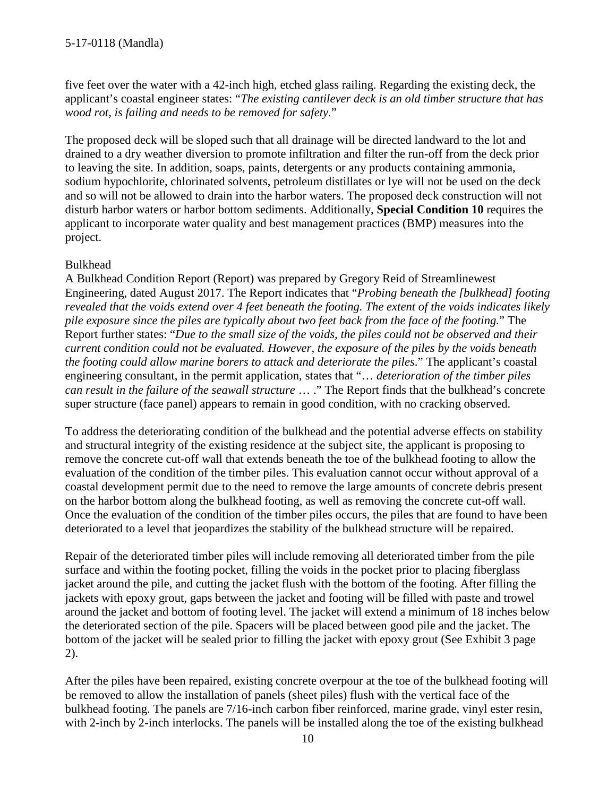five feet over the water with a 42-inch high, etched glass railing. Regarding the existing deck, the applicant's coastal engineer states: "*The existing cantilever deck is an old timber structure that has wood rot, is failing and needs to be removed for safety.*"

The proposed deck will be sloped such that all drainage will be directed landward to the lot and drained to a dry weather diversion to promote infiltration and filter the run-off from the deck prior to leaving the site. In addition, soaps, paints, detergents or any products containing ammonia, sodium hypochlorite, chlorinated solvents, petroleum distillates or lye will not be used on the deck and so will not be allowed to drain into the harbor waters. The proposed deck construction will not disturb harbor waters or harbor bottom sediments. Additionally, **Special Condition 10** requires the applicant to incorporate water quality and best management practices (BMP) measures into the project.

#### Bulkhead

A Bulkhead Condition Report (Report) was prepared by Gregory Reid of Streamlinewest Engineering, dated August 2017. The Report indicates that "*Probing beneath the [bulkhead] footing revealed that the voids extend over 4 feet beneath the footing. The extent of the voids indicates likely pile exposure since the piles are typically about two feet back from the face of the footing.*" The Report further states: "*Due to the small size of the voids, the piles could not be observed and their current condition could not be evaluated. However, the exposure of the piles by the voids beneath the footing could allow marine borers to attack and deteriorate the piles*." The applicant's coastal engineering consultant, in the permit application, states that "… *deterioration of the timber piles can result in the failure of the seawall structure* … ." The Report finds that the bulkhead's concrete super structure (face panel) appears to remain in good condition, with no cracking observed.

To address the deteriorating condition of the bulkhead and the potential adverse effects on stability and structural integrity of the existing residence at the subject site, the applicant is proposing to remove the concrete cut-off wall that extends beneath the toe of the bulkhead footing to allow the evaluation of the condition of the timber piles. This evaluation cannot occur without approval of a coastal development permit due to the need to remove the large amounts of concrete debris present on the harbor bottom along the bulkhead footing, as well as removing the concrete cut-off wall. Once the evaluation of the condition of the timber piles occurs, the piles that are found to have been deteriorated to a level that jeopardizes the stability of the bulkhead structure will be repaired.

Repair of the deteriorated timber piles will include removing all deteriorated timber from the pile surface and within the footing pocket, filling the voids in the pocket prior to placing fiberglass jacket around the pile, and cutting the jacket flush with the bottom of the footing. After filling the jackets with epoxy grout, gaps between the jacket and footing will be filled with paste and trowel around the jacket and bottom of footing level. The jacket will extend a minimum of 18 inches below the deteriorated section of the pile. Spacers will be placed between good pile and the jacket. The bottom of the jacket will be sealed prior to filling the jacket with epoxy grout (See Exhibit 3 page 2).

After the piles have been repaired, existing concrete overpour at the toe of the bulkhead footing will be removed to allow the installation of panels (sheet piles) flush with the vertical face of the bulkhead footing. The panels are 7/16-inch carbon fiber reinforced, marine grade, vinyl ester resin, with 2-inch by 2-inch interlocks. The panels will be installed along the toe of the existing bulkhead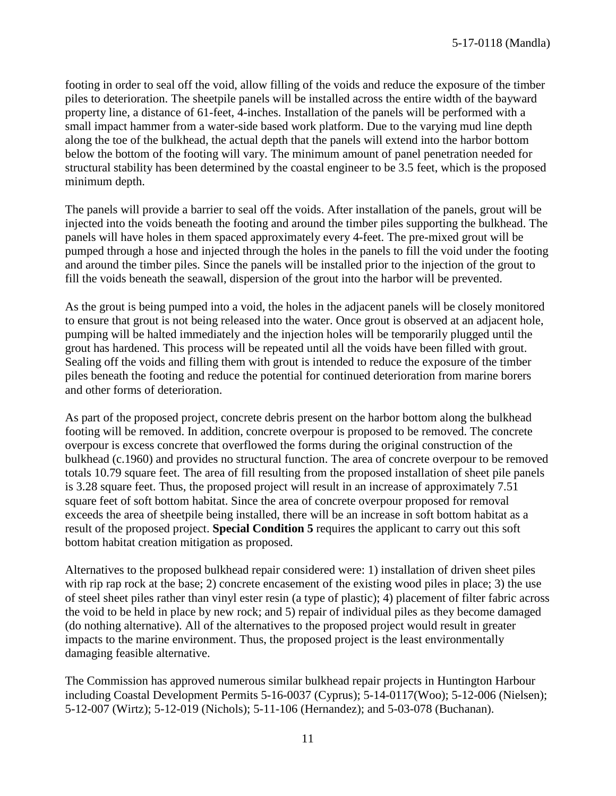footing in order to seal off the void, allow filling of the voids and reduce the exposure of the timber piles to deterioration. The sheetpile panels will be installed across the entire width of the bayward property line, a distance of 61-feet, 4-inches. Installation of the panels will be performed with a small impact hammer from a water-side based work platform. Due to the varying mud line depth along the toe of the bulkhead, the actual depth that the panels will extend into the harbor bottom below the bottom of the footing will vary. The minimum amount of panel penetration needed for structural stability has been determined by the coastal engineer to be 3.5 feet, which is the proposed minimum depth.

The panels will provide a barrier to seal off the voids. After installation of the panels, grout will be injected into the voids beneath the footing and around the timber piles supporting the bulkhead. The panels will have holes in them spaced approximately every 4-feet. The pre-mixed grout will be pumped through a hose and injected through the holes in the panels to fill the void under the footing and around the timber piles. Since the panels will be installed prior to the injection of the grout to fill the voids beneath the seawall, dispersion of the grout into the harbor will be prevented.

As the grout is being pumped into a void, the holes in the adjacent panels will be closely monitored to ensure that grout is not being released into the water. Once grout is observed at an adjacent hole, pumping will be halted immediately and the injection holes will be temporarily plugged until the grout has hardened. This process will be repeated until all the voids have been filled with grout. Sealing off the voids and filling them with grout is intended to reduce the exposure of the timber piles beneath the footing and reduce the potential for continued deterioration from marine borers and other forms of deterioration.

As part of the proposed project, concrete debris present on the harbor bottom along the bulkhead footing will be removed. In addition, concrete overpour is proposed to be removed. The concrete overpour is excess concrete that overflowed the forms during the original construction of the bulkhead (c.1960) and provides no structural function. The area of concrete overpour to be removed totals 10.79 square feet. The area of fill resulting from the proposed installation of sheet pile panels is 3.28 square feet. Thus, the proposed project will result in an increase of approximately 7.51 square feet of soft bottom habitat. Since the area of concrete overpour proposed for removal exceeds the area of sheetpile being installed, there will be an increase in soft bottom habitat as a result of the proposed project. **Special Condition 5** requires the applicant to carry out this soft bottom habitat creation mitigation as proposed.

Alternatives to the proposed bulkhead repair considered were: 1) installation of driven sheet piles with rip rap rock at the base; 2) concrete encasement of the existing wood piles in place; 3) the use of steel sheet piles rather than vinyl ester resin (a type of plastic); 4) placement of filter fabric across the void to be held in place by new rock; and 5) repair of individual piles as they become damaged (do nothing alternative). All of the alternatives to the proposed project would result in greater impacts to the marine environment. Thus, the proposed project is the least environmentally damaging feasible alternative.

The Commission has approved numerous similar bulkhead repair projects in Huntington Harbour including Coastal Development Permits 5-16-0037 (Cyprus); 5-14-0117(Woo); 5-12-006 (Nielsen); 5-12-007 (Wirtz); 5-12-019 (Nichols); 5-11-106 (Hernandez); and 5-03-078 (Buchanan).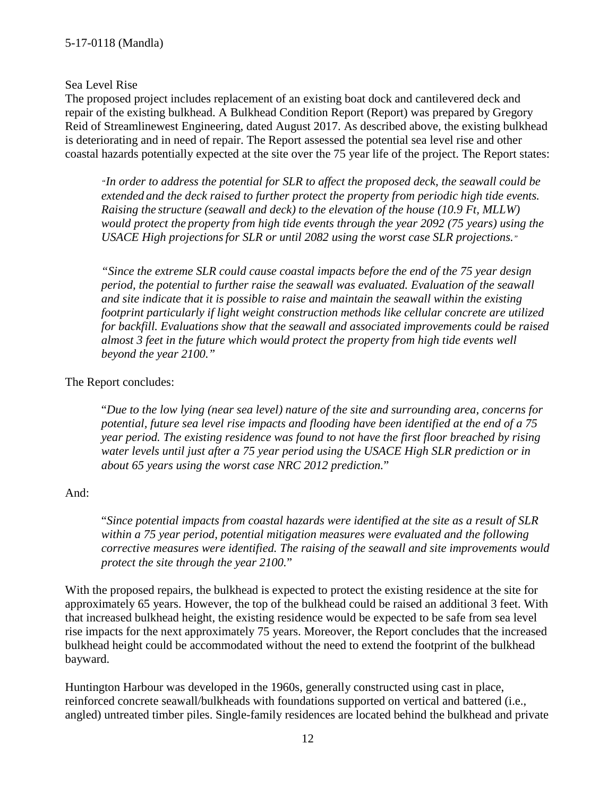#### Sea Level Rise

The proposed project includes replacement of an existing boat dock and cantilevered deck and repair of the existing bulkhead. A Bulkhead Condition Report (Report) was prepared by Gregory Reid of Streamlinewest Engineering, dated August 2017. As described above, the existing bulkhead is deteriorating and in need of repair. The Report assessed the potential sea level rise and other coastal hazards potentially expected at the site over the 75 year life of the project. The Report states:

*"In order to address the potential for SLR to affect the proposed deck, the seawall could be extended and the deck raised to further protect the property from periodic high tide events. Raising the structure (seawall and deck) to the elevation of the house (10.9 Ft, MLLW) would protect the property from high tide events through the year 2092 (75 years) using the USACE High projectionsfor SLR or until 2082 using the worst case SLR projections."*

*"Since the extreme SLR could cause coastal impacts before the end of the 75 year design period, the potential to further raise the seawall was evaluated. Evaluation of the seawall and site indicate that it is possible to raise and maintain the seawall within the existing footprint particularly if light weight construction methods like cellular concrete are utilized for backfill. Evaluations show that the seawall and associated improvements could be raised almost 3 feet in the future which would protect the property from high tide events well beyond the year 2100."*

#### The Report concludes:

"*Due to the low lying (near sea level) nature of the site and surrounding area, concerns for potential, future sea level rise impacts and flooding have been identified at the end of a 75 year period. The existing residence was found to not have the first floor breached by rising water levels until just after a 75 year period using the USACE High SLR prediction or in about 65 years using the worst case NRC 2012 prediction.*"

#### And:

"*Since potential impacts from coastal hazards were identified at the site as a result of SLR within a 75 year period, potential mitigation measures were evaluated and the following corrective measures were identified. The raising of the seawall and site improvements would protect the site through the year 2100.*"

With the proposed repairs, the bulkhead is expected to protect the existing residence at the site for approximately 65 years. However, the top of the bulkhead could be raised an additional 3 feet. With that increased bulkhead height, the existing residence would be expected to be safe from sea level rise impacts for the next approximately 75 years. Moreover, the Report concludes that the increased bulkhead height could be accommodated without the need to extend the footprint of the bulkhead bayward.

Huntington Harbour was developed in the 1960s, generally constructed using cast in place, reinforced concrete seawall/bulkheads with foundations supported on vertical and battered (i.e., angled) untreated timber piles. Single-family residences are located behind the bulkhead and private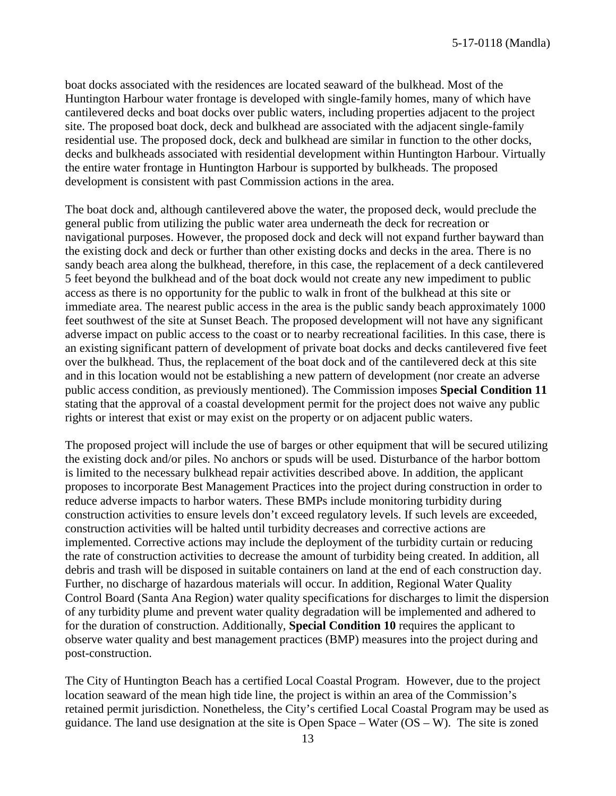boat docks associated with the residences are located seaward of the bulkhead. Most of the Huntington Harbour water frontage is developed with single-family homes, many of which have cantilevered decks and boat docks over public waters, including properties adjacent to the project site. The proposed boat dock, deck and bulkhead are associated with the adjacent single-family residential use. The proposed dock, deck and bulkhead are similar in function to the other docks, decks and bulkheads associated with residential development within Huntington Harbour. Virtually the entire water frontage in Huntington Harbour is supported by bulkheads. The proposed development is consistent with past Commission actions in the area.

The boat dock and, although cantilevered above the water, the proposed deck, would preclude the general public from utilizing the public water area underneath the deck for recreation or navigational purposes. However, the proposed dock and deck will not expand further bayward than the existing dock and deck or further than other existing docks and decks in the area. There is no sandy beach area along the bulkhead, therefore, in this case, the replacement of a deck cantilevered 5 feet beyond the bulkhead and of the boat dock would not create any new impediment to public access as there is no opportunity for the public to walk in front of the bulkhead at this site or immediate area. The nearest public access in the area is the public sandy beach approximately 1000 feet southwest of the site at Sunset Beach. The proposed development will not have any significant adverse impact on public access to the coast or to nearby recreational facilities. In this case, there is an existing significant pattern of development of private boat docks and decks cantilevered five feet over the bulkhead. Thus, the replacement of the boat dock and of the cantilevered deck at this site and in this location would not be establishing a new pattern of development (nor create an adverse public access condition, as previously mentioned). The Commission imposes **Special Condition 11** stating that the approval of a coastal development permit for the project does not waive any public rights or interest that exist or may exist on the property or on adjacent public waters.

The proposed project will include the use of barges or other equipment that will be secured utilizing the existing dock and/or piles. No anchors or spuds will be used. Disturbance of the harbor bottom is limited to the necessary bulkhead repair activities described above. In addition, the applicant proposes to incorporate Best Management Practices into the project during construction in order to reduce adverse impacts to harbor waters. These BMPs include monitoring turbidity during construction activities to ensure levels don't exceed regulatory levels. If such levels are exceeded, construction activities will be halted until turbidity decreases and corrective actions are implemented. Corrective actions may include the deployment of the turbidity curtain or reducing the rate of construction activities to decrease the amount of turbidity being created. In addition, all debris and trash will be disposed in suitable containers on land at the end of each construction day. Further, no discharge of hazardous materials will occur. In addition, Regional Water Quality Control Board (Santa Ana Region) water quality specifications for discharges to limit the dispersion of any turbidity plume and prevent water quality degradation will be implemented and adhered to for the duration of construction. Additionally, **Special Condition 10** requires the applicant to observe water quality and best management practices (BMP) measures into the project during and post-construction.

The City of Huntington Beach has a certified Local Coastal Program. However, due to the project location seaward of the mean high tide line, the project is within an area of the Commission's retained permit jurisdiction. Nonetheless, the City's certified Local Coastal Program may be used as guidance. The land use designation at the site is Open Space – Water  $(OS - W)$ . The site is zoned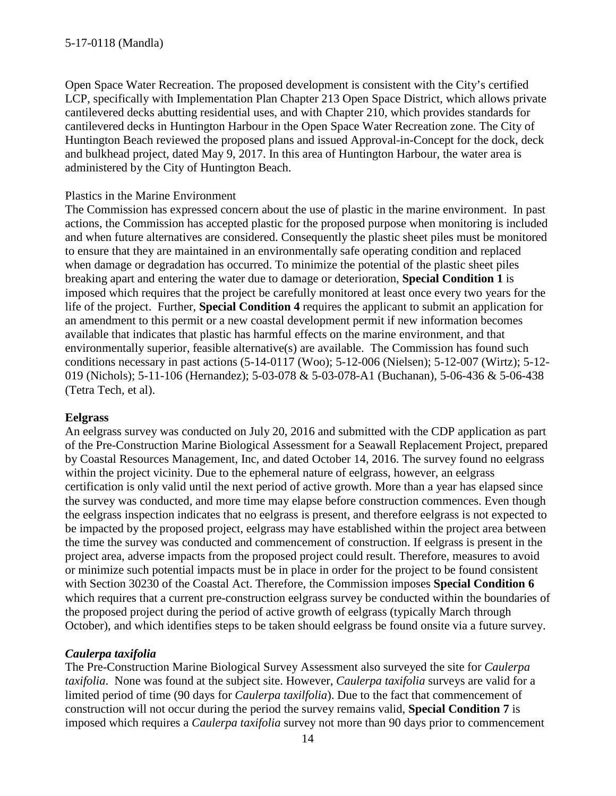Open Space Water Recreation. The proposed development is consistent with the City's certified LCP, specifically with Implementation Plan Chapter 213 Open Space District, which allows private cantilevered decks abutting residential uses, and with Chapter 210, which provides standards for cantilevered decks in Huntington Harbour in the Open Space Water Recreation zone. The City of Huntington Beach reviewed the proposed plans and issued Approval-in-Concept for the dock, deck and bulkhead project, dated May 9, 2017. In this area of Huntington Harbour, the water area is administered by the City of Huntington Beach.

#### Plastics in the Marine Environment

The Commission has expressed concern about the use of plastic in the marine environment. In past actions, the Commission has accepted plastic for the proposed purpose when monitoring is included and when future alternatives are considered. Consequently the plastic sheet piles must be monitored to ensure that they are maintained in an environmentally safe operating condition and replaced when damage or degradation has occurred. To minimize the potential of the plastic sheet piles breaking apart and entering the water due to damage or deterioration, **Special Condition 1** is imposed which requires that the project be carefully monitored at least once every two years for the life of the project. Further, **Special Condition 4** requires the applicant to submit an application for an amendment to this permit or a new coastal development permit if new information becomes available that indicates that plastic has harmful effects on the marine environment, and that environmentally superior, feasible alternative(s) are available. The Commission has found such conditions necessary in past actions (5-14-0117 (Woo); 5-12-006 (Nielsen); 5-12-007 (Wirtz); 5-12- 019 (Nichols); 5-11-106 (Hernandez); 5-03-078 & 5-03-078-A1 (Buchanan), 5-06-436 & 5-06-438 (Tetra Tech, et al).

#### **Eelgrass**

An eelgrass survey was conducted on July 20, 2016 and submitted with the CDP application as part of the Pre-Construction Marine Biological Assessment for a Seawall Replacement Project, prepared by Coastal Resources Management, Inc, and dated October 14, 2016. The survey found no eelgrass within the project vicinity. Due to the ephemeral nature of eelgrass, however, an eelgrass certification is only valid until the next period of active growth. More than a year has elapsed since the survey was conducted, and more time may elapse before construction commences. Even though the eelgrass inspection indicates that no eelgrass is present, and therefore eelgrass is not expected to be impacted by the proposed project, eelgrass may have established within the project area between the time the survey was conducted and commencement of construction. If eelgrass is present in the project area, adverse impacts from the proposed project could result. Therefore, measures to avoid or minimize such potential impacts must be in place in order for the project to be found consistent with Section 30230 of the Coastal Act. Therefore, the Commission imposes **Special Condition 6** which requires that a current pre-construction eelgrass survey be conducted within the boundaries of the proposed project during the period of active growth of eelgrass (typically March through October), and which identifies steps to be taken should eelgrass be found onsite via a future survey.

#### *Caulerpa taxifolia*

The Pre-Construction Marine Biological Survey Assessment also surveyed the site for *Caulerpa taxifolia*. None was found at the subject site. However, *Caulerpa taxifolia* surveys are valid for a limited period of time (90 days for *Caulerpa taxilfolia*). Due to the fact that commencement of construction will not occur during the period the survey remains valid, **Special Condition 7** is imposed which requires a *Caulerpa taxifolia* survey not more than 90 days prior to commencement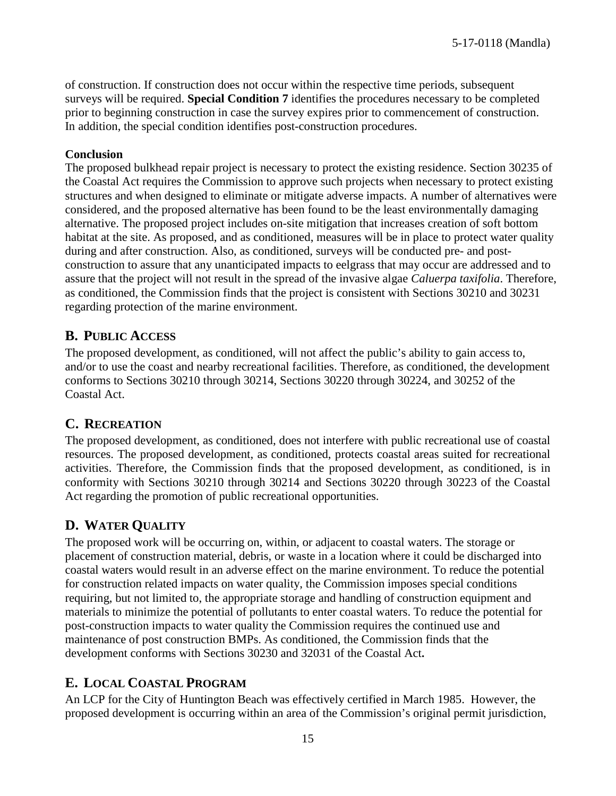of construction. If construction does not occur within the respective time periods, subsequent surveys will be required. **Special Condition 7** identifies the procedures necessary to be completed prior to beginning construction in case the survey expires prior to commencement of construction. In addition, the special condition identifies post-construction procedures.

#### **Conclusion**

The proposed bulkhead repair project is necessary to protect the existing residence. Section 30235 of the Coastal Act requires the Commission to approve such projects when necessary to protect existing structures and when designed to eliminate or mitigate adverse impacts. A number of alternatives were considered, and the proposed alternative has been found to be the least environmentally damaging alternative. The proposed project includes on-site mitigation that increases creation of soft bottom habitat at the site. As proposed, and as conditioned, measures will be in place to protect water quality during and after construction. Also, as conditioned, surveys will be conducted pre- and postconstruction to assure that any unanticipated impacts to eelgrass that may occur are addressed and to assure that the project will not result in the spread of the invasive algae *Caluerpa taxifolia*. Therefore, as conditioned, the Commission finds that the project is consistent with Sections 30210 and 30231 regarding protection of the marine environment.

### **B. PUBLIC ACCESS**

The proposed development, as conditioned, will not affect the public's ability to gain access to, and/or to use the coast and nearby recreational facilities. Therefore, as conditioned, the development conforms to Sections 30210 through 30214, Sections 30220 through 30224, and 30252 of the Coastal Act.

### **C. RECREATION**

The proposed development, as conditioned, does not interfere with public recreational use of coastal resources. The proposed development, as conditioned, protects coastal areas suited for recreational activities. Therefore, the Commission finds that the proposed development, as conditioned, is in conformity with Sections 30210 through 30214 and Sections 30220 through 30223 of the Coastal Act regarding the promotion of public recreational opportunities.

# **D. WATER QUALITY**

The proposed work will be occurring on, within, or adjacent to coastal waters. The storage or placement of construction material, debris, or waste in a location where it could be discharged into coastal waters would result in an adverse effect on the marine environment. To reduce the potential for construction related impacts on water quality, the Commission imposes special conditions requiring, but not limited to, the appropriate storage and handling of construction equipment and materials to minimize the potential of pollutants to enter coastal waters. To reduce the potential for post-construction impacts to water quality the Commission requires the continued use and maintenance of post construction BMPs. As conditioned, the Commission finds that the development conforms with Sections 30230 and 32031 of the Coastal Act**.**

### **E. LOCAL COASTAL PROGRAM**

An LCP for the City of Huntington Beach was effectively certified in March 1985. However, the proposed development is occurring within an area of the Commission's original permit jurisdiction,